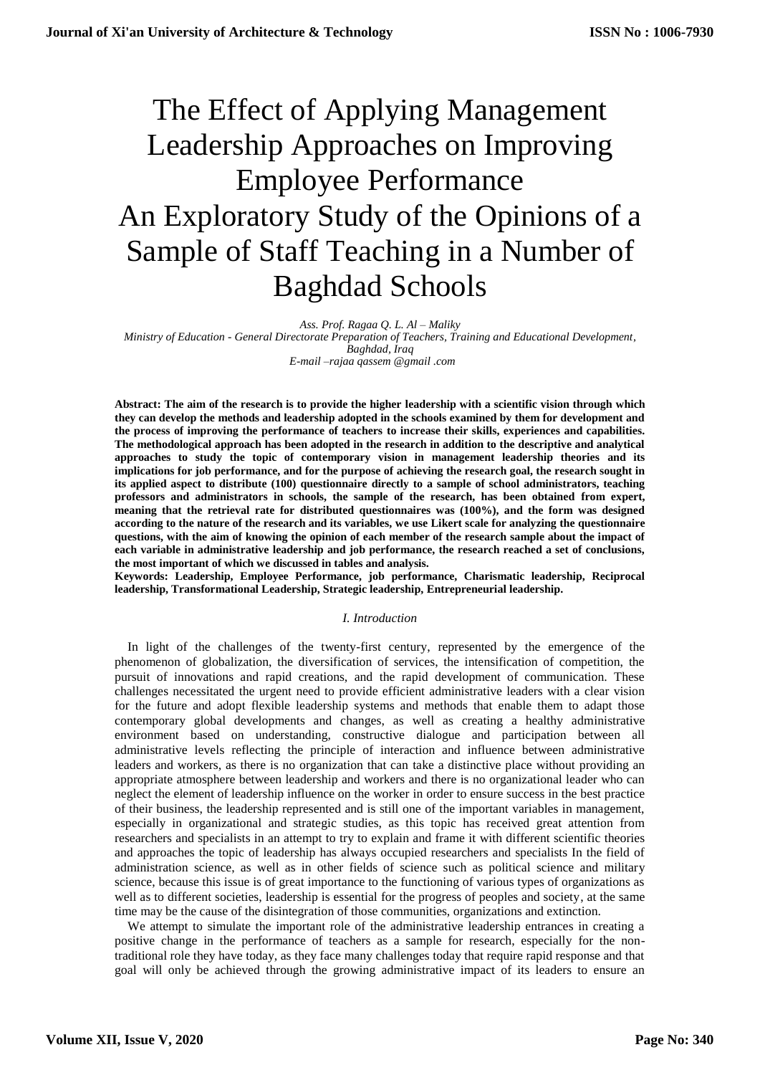# The Effect of Applying Management Leadership Approaches on Improving Employee Performance An Exploratory Study of the Opinions of a Sample of Staff Teaching in a Number of Baghdad Schools

*Ass. Prof. Ragaa Q. L. Al – Maliky*

*Ministry of Education - General Directorate Preparation of Teachers, Training and Educational Development, Baghdad, Iraq*

*E-mail –rajaa qassem @gmail .com*

**Abstract: The aim of the research is to provide the higher leadership with a scientific vision through which they can develop the methods and leadership adopted in the schools examined by them for development and the process of improving the performance of teachers to increase their skills, experiences and capabilities. The methodological approach has been adopted in the research in addition to the descriptive and analytical approaches to study the topic of contemporary vision in management leadership theories and its implications for job performance, and for the purpose of achieving the research goal, the research sought in its applied aspect to distribute (100) questionnaire directly to a sample of school administrators, teaching professors and administrators in schools, the sample of the research, has been obtained from expert, meaning that the retrieval rate for distributed questionnaires was (100%), and the form was designed according to the nature of the research and its variables, we use Likert scale for analyzing the questionnaire questions, with the aim of knowing the opinion of each member of the research sample about the impact of each variable in administrative leadership and job performance, the research reached a set of conclusions, the most important of which we discussed in tables and analysis.**

**Keywords: Leadership, Employee Performance, job performance, Charismatic leadership, Reciprocal leadership, Transformational Leadership, Strategic leadership, Entrepreneurial leadership.** 

# *I. Introduction*

 In light of the challenges of the twenty-first century, represented by the emergence of the phenomenon of globalization, the diversification of services, the intensification of competition, the pursuit of innovations and rapid creations, and the rapid development of communication. These challenges necessitated the urgent need to provide efficient administrative leaders with a clear vision for the future and adopt flexible leadership systems and methods that enable them to adapt those contemporary global developments and changes, as well as creating a healthy administrative environment based on understanding, constructive dialogue and participation between all administrative levels reflecting the principle of interaction and influence between administrative leaders and workers, as there is no organization that can take a distinctive place without providing an appropriate atmosphere between leadership and workers and there is no organizational leader who can neglect the element of leadership influence on the worker in order to ensure success in the best practice of their business, the leadership represented and is still one of the important variables in management, especially in organizational and strategic studies, as this topic has received great attention from researchers and specialists in an attempt to try to explain and frame it with different scientific theories and approaches the topic of leadership has always occupied researchers and specialists In the field of administration science, as well as in other fields of science such as political science and military science, because this issue is of great importance to the functioning of various types of organizations as well as to different societies, leadership is essential for the progress of peoples and society, at the same time may be the cause of the disintegration of those communities, organizations and extinction.

 We attempt to simulate the important role of the administrative leadership entrances in creating a positive change in the performance of teachers as a sample for research, especially for the nontraditional role they have today, as they face many challenges today that require rapid response and that goal will only be achieved through the growing administrative impact of its leaders to ensure an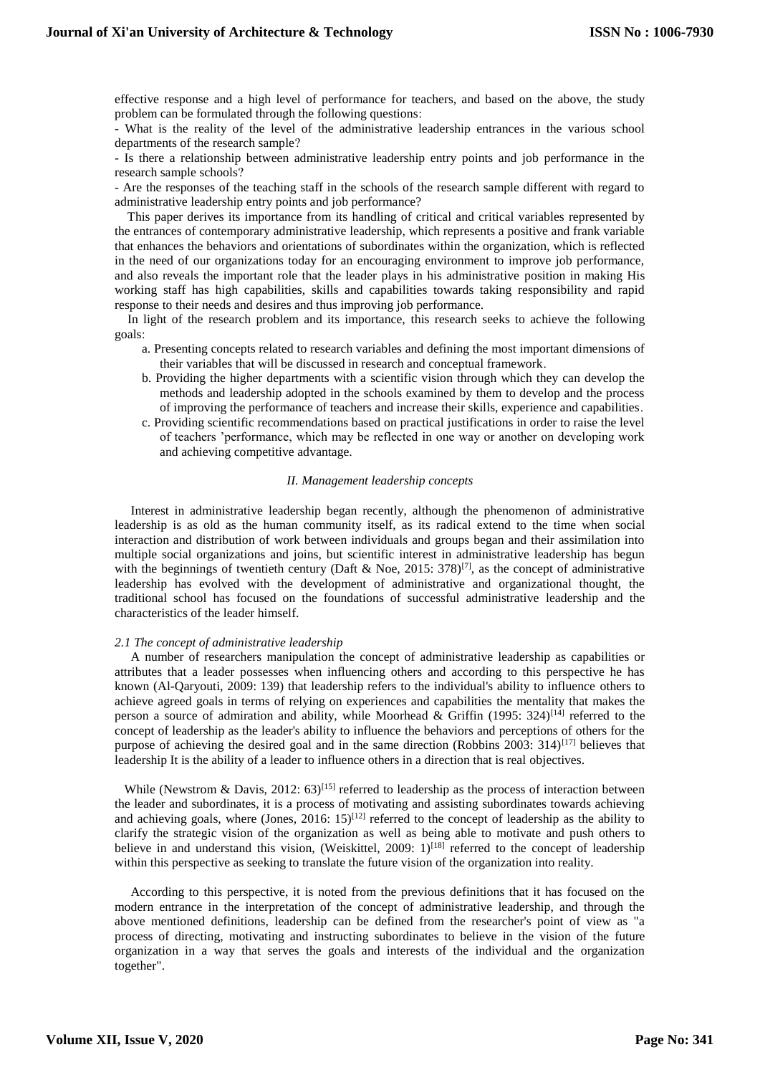effective response and a high level of performance for teachers, and based on the above, the study problem can be formulated through the following questions:

- What is the reality of the level of the administrative leadership entrances in the various school departments of the research sample?

- Is there a relationship between administrative leadership entry points and job performance in the research sample schools?

- Are the responses of the teaching staff in the schools of the research sample different with regard to administrative leadership entry points and job performance?

 This paper derives its importance from its handling of critical and critical variables represented by the entrances of contemporary administrative leadership, which represents a positive and frank variable that enhances the behaviors and orientations of subordinates within the organization, which is reflected in the need of our organizations today for an encouraging environment to improve job performance, and also reveals the important role that the leader plays in his administrative position in making His working staff has high capabilities, skills and capabilities towards taking responsibility and rapid response to their needs and desires and thus improving job performance.

 In light of the research problem and its importance, this research seeks to achieve the following goals:

- a. Presenting concepts related to research variables and defining the most important dimensions of their variables that will be discussed in research and conceptual framework.
- b. Providing the higher departments with a scientific vision through which they can develop the methods and leadership adopted in the schools examined by them to develop and the process of improving the performance of teachers and increase their skills, experience and capabilities.
- c. Providing scientific recommendations based on practical justifications in order to raise the level of teachers 'performance, which may be reflected in one way or another on developing work and achieving competitive advantage.

# *II. Management leadership concepts*

 Interest in administrative leadership began recently, although the phenomenon of administrative leadership is as old as the human community itself, as its radical extend to the time when social interaction and distribution of work between individuals and groups began and their assimilation into multiple social organizations and joins, but scientific interest in administrative leadership has begun with the beginnings of twentieth century (Daft & Noe, 2015: 378)<sup>[7]</sup>, as the concept of administrative leadership has evolved with the development of administrative and organizational thought, the traditional school has focused on the foundations of successful administrative leadership and the characteristics of the leader himself.

#### *2.1 The concept of administrative leadership*

 A number of researchers manipulation the concept of administrative leadership as capabilities or attributes that a leader possesses when influencing others and according to this perspective he has known (Al-Qaryouti, 2009: 139) that leadership refers to the individual's ability to influence others to achieve agreed goals in terms of relying on experiences and capabilities the mentality that makes the person a source of admiration and ability, while Moorhead & Griffin (1995:  $324$ )<sup>[14]</sup> referred to the concept of leadership as the leader's ability to influence the behaviors and perceptions of others for the purpose of achieving the desired goal and in the same direction (Robbins 2003:  $314$ )<sup>[17]</sup> believes that leadership It is the ability of a leader to influence others in a direction that is real objectives.

While (Newstrom & Davis, 2012:  $63$ )<sup>[15]</sup> referred to leadership as the process of interaction between the leader and subordinates, it is a process of motivating and assisting subordinates towards achieving and achieving goals, where (Jones, 2016:  $15$ )<sup>[12]</sup> referred to the concept of leadership as the ability to clarify the strategic vision of the organization as well as being able to motivate and push others to believe in and understand this vision, (Weiskittel, 2009:  $1$ )<sup>[18]</sup> referred to the concept of leadership within this perspective as seeking to translate the future vision of the organization into reality.

 According to this perspective, it is noted from the previous definitions that it has focused on the modern entrance in the interpretation of the concept of administrative leadership, and through the above mentioned definitions, leadership can be defined from the researcher's point of view as "a process of directing, motivating and instructing subordinates to believe in the vision of the future organization in a way that serves the goals and interests of the individual and the organization together".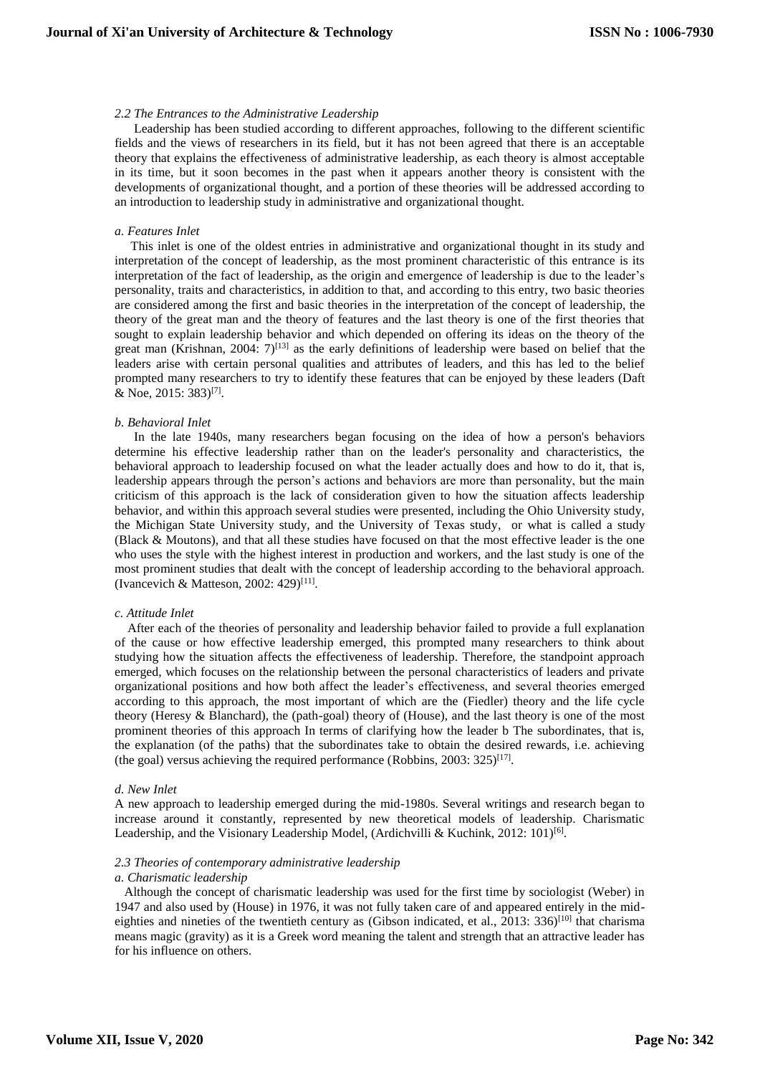# *2.2 The Entrances to the Administrative Leadership*

 Leadership has been studied according to different approaches, following to the different scientific fields and the views of researchers in its field, but it has not been agreed that there is an acceptable theory that explains the effectiveness of administrative leadership, as each theory is almost acceptable in its time, but it soon becomes in the past when it appears another theory is consistent with the developments of organizational thought, and a portion of these theories will be addressed according to an introduction to leadership study in administrative and organizational thought.

#### *a. Features Inlet*

 This inlet is one of the oldest entries in administrative and organizational thought in its study and interpretation of the concept of leadership, as the most prominent characteristic of this entrance is its interpretation of the fact of leadership, as the origin and emergence of leadership is due to the leader's personality, traits and characteristics, in addition to that, and according to this entry, two basic theories are considered among the first and basic theories in the interpretation of the concept of leadership, the theory of the great man and the theory of features and the last theory is one of the first theories that sought to explain leadership behavior and which depended on offering its ideas on the theory of the great man (Krishnan, 2004:  $7$ )<sup>[13]</sup> as the early definitions of leadership were based on belief that the leaders arise with certain personal qualities and attributes of leaders, and this has led to the belief prompted many researchers to try to identify these features that can be enjoyed by these leaders (Daft & Noe, 2015: 383)<sup>[7]</sup>.

#### *b. Behavioral Inlet*

 In the late 1940s, many researchers began focusing on the idea of how a person's behaviors determine his effective leadership rather than on the leader's personality and characteristics, the behavioral approach to leadership focused on what the leader actually does and how to do it, that is, leadership appears through the person's actions and behaviors are more than personality, but the main criticism of this approach is the lack of consideration given to how the situation affects leadership behavior, and within this approach several studies were presented, including the Ohio University study, the Michigan State University study, and the University of Texas study, or what is called a study (Black & Moutons), and that all these studies have focused on that the most effective leader is the one who uses the style with the highest interest in production and workers, and the last study is one of the most prominent studies that dealt with the concept of leadership according to the behavioral approach. (Ivancevich & Matteson, 2002: 429)<sup>[11]</sup>.

#### *c. Attitude Inlet*

 After each of the theories of personality and leadership behavior failed to provide a full explanation of the cause or how effective leadership emerged, this prompted many researchers to think about studying how the situation affects the effectiveness of leadership. Therefore, the standpoint approach emerged, which focuses on the relationship between the personal characteristics of leaders and private organizational positions and how both affect the leader's effectiveness, and several theories emerged according to this approach, the most important of which are the (Fiedler) theory and the life cycle theory (Heresy & Blanchard), the (path-goal) theory of (House), and the last theory is one of the most prominent theories of this approach In terms of clarifying how the leader b The subordinates, that is, the explanation (of the paths) that the subordinates take to obtain the desired rewards, i.e. achieving (the goal) versus achieving the required performance (Robbins, 2003: 325)<sup>[17]</sup>.

#### *d. New Inlet*

A new approach to leadership emerged during the mid-1980s. Several writings and research began to increase around it constantly, represented by new theoretical models of leadership. Charismatic Leadership, and the Visionary Leadership Model, (Ardichvilli & Kuchink, 2012: 101)<sup>[6]</sup>.

#### *2.3 Theories of contemporary administrative leadership*

#### *a. Charismatic leadership*

 Although the concept of charismatic leadership was used for the first time by sociologist (Weber) in 1947 and also used by (House) in 1976, it was not fully taken care of and appeared entirely in the mideighties and nineties of the twentieth century as (Gibson indicated, et al., 2013: 336)<sup>[10]</sup> that charisma means magic (gravity) as it is a Greek word meaning the talent and strength that an attractive leader has for his influence on others.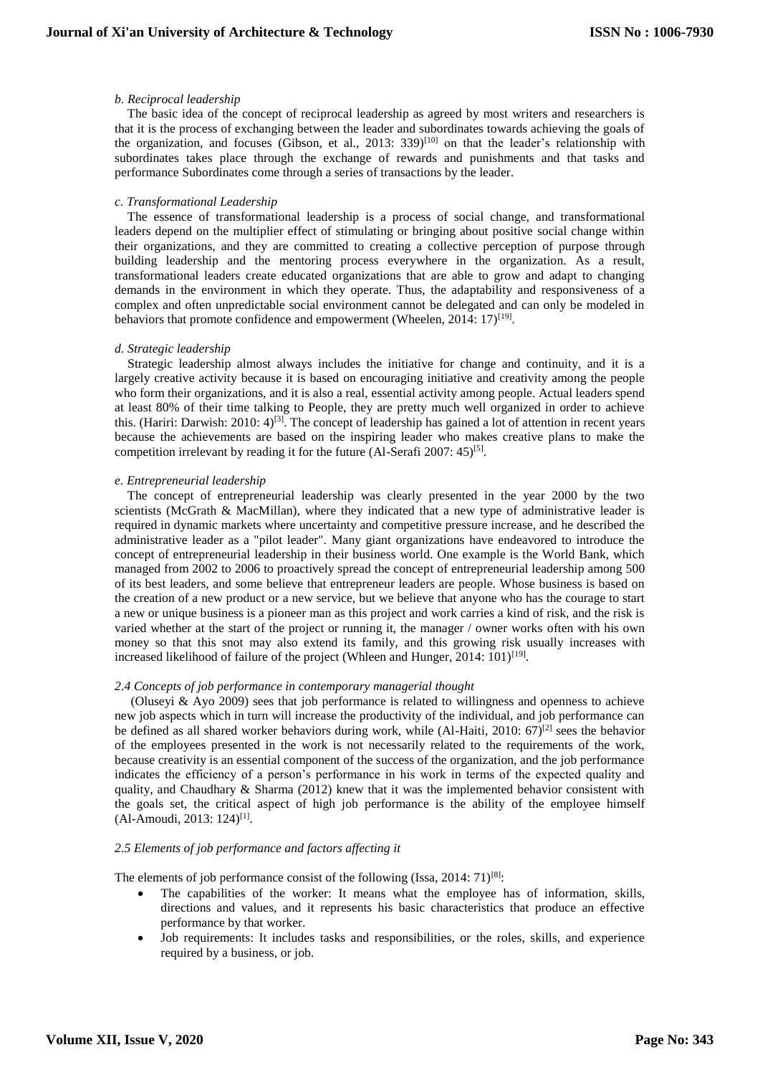# *b. Reciprocal leadership*

 The basic idea of the concept of reciprocal leadership as agreed by most writers and researchers is that it is the process of exchanging between the leader and subordinates towards achieving the goals of the organization, and focuses (Gibson, et al., 2013: 339)<sup>[10]</sup> on that the leader's relationship with subordinates takes place through the exchange of rewards and punishments and that tasks and performance Subordinates come through a series of transactions by the leader.

#### *c. Transformational Leadership*

 The essence of transformational leadership is a process of social change, and transformational leaders depend on the multiplier effect of stimulating or bringing about positive social change within their organizations, and they are committed to creating a collective perception of purpose through building leadership and the mentoring process everywhere in the organization. As a result, transformational leaders create educated organizations that are able to grow and adapt to changing demands in the environment in which they operate. Thus, the adaptability and responsiveness of a complex and often unpredictable social environment cannot be delegated and can only be modeled in behaviors that promote confidence and empowerment (Wheelen, 2014: 17)<sup>[19]</sup>.

#### *d. Strategic leadership*

 Strategic leadership almost always includes the initiative for change and continuity, and it is a largely creative activity because it is based on encouraging initiative and creativity among the people who form their organizations, and it is also a real, essential activity among people. Actual leaders spend at least 80% of their time talking to People, they are pretty much well organized in order to achieve this. (Hariri: Darwish: 2010: 4)<sup>[3]</sup>. The concept of leadership has gained a lot of attention in recent years because the achievements are based on the inspiring leader who makes creative plans to make the competition irrelevant by reading it for the future (Al-Serafi 2007: 45)<sup>[5]</sup>.

#### *e. Entrepreneurial leadership*

 The concept of entrepreneurial leadership was clearly presented in the year 2000 by the two scientists (McGrath & MacMillan), where they indicated that a new type of administrative leader is required in dynamic markets where uncertainty and competitive pressure increase, and he described the administrative leader as a "pilot leader". Many giant organizations have endeavored to introduce the concept of entrepreneurial leadership in their business world. One example is the World Bank, which managed from 2002 to 2006 to proactively spread the concept of entrepreneurial leadership among 500 of its best leaders, and some believe that entrepreneur leaders are people. Whose business is based on the creation of a new product or a new service, but we believe that anyone who has the courage to start a new or unique business is a pioneer man as this project and work carries a kind of risk, and the risk is varied whether at the start of the project or running it, the manager / owner works often with his own money so that this snot may also extend its family, and this growing risk usually increases with increased likelihood of failure of the project (Whleen and Hunger, 2014: 101)<sup>[19]</sup>.

#### *2.4 Concepts of job performance in contemporary managerial thought*

 (Oluseyi & Ayo 2009) sees that job performance is related to willingness and openness to achieve new job aspects which in turn will increase the productivity of the individual, and job performance can be defined as all shared worker behaviors during work, while (Al-Haiti, 2010: 67)<sup>[2]</sup> sees the behavior of the employees presented in the work is not necessarily related to the requirements of the work, because creativity is an essential component of the success of the organization, and the job performance indicates the efficiency of a person's performance in his work in terms of the expected quality and quality, and Chaudhary  $&$  Sharma (2012) knew that it was the implemented behavior consistent with the goals set, the critical aspect of high job performance is the ability of the employee himself  $(Al-Amoudi, 2013: 124)^{[1]}$ .

# *2.5 Elements of job performance and factors affecting it*

The elements of job performance consist of the following (Issa, 2014:  $71$ )<sup>[8]</sup>:

- The capabilities of the worker: It means what the employee has of information, skills, directions and values, and it represents his basic characteristics that produce an effective performance by that worker.
- Job requirements: It includes tasks and responsibilities, or the roles, skills, and experience required by a business, or job.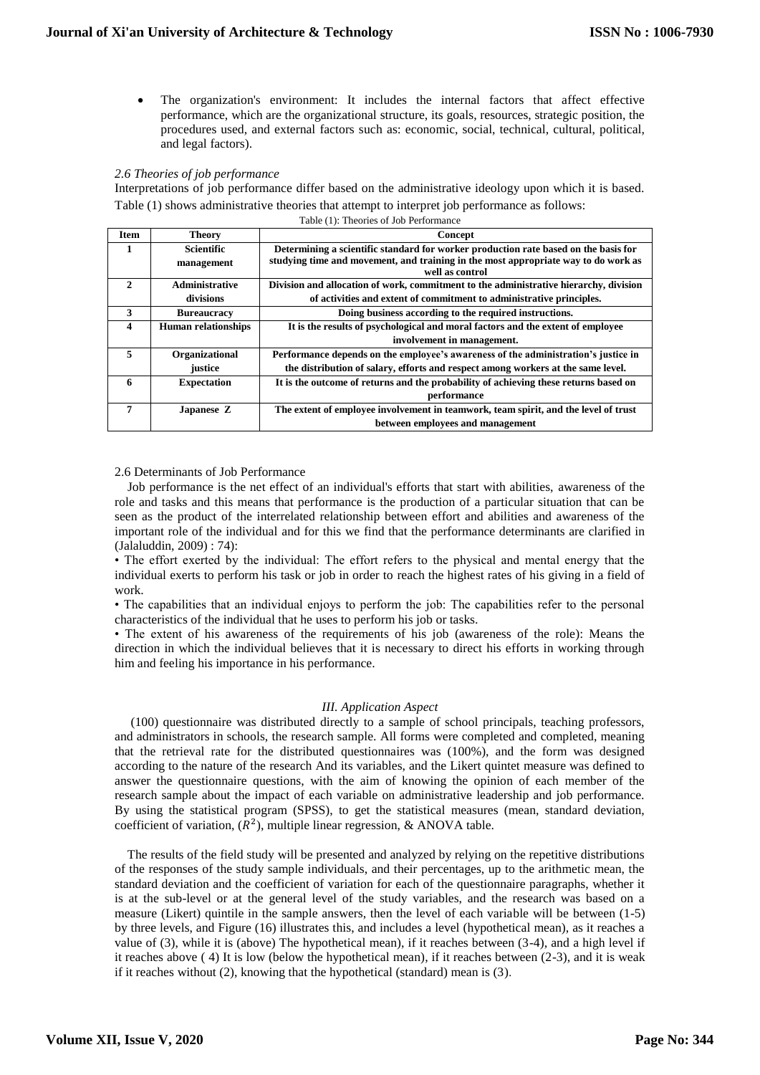The organization's environment: It includes the internal factors that affect effective performance, which are the organizational structure, its goals, resources, strategic position, the procedures used, and external factors such as: economic, social, technical, cultural, political, and legal factors).

# *2.6 Theories of job performance*

Interpretations of job performance differ based on the administrative ideology upon which it is based. Table (1) shows administrative theories that attempt to interpret job performance as follows:

| Table (1): Theories of Job Performance |  |
|----------------------------------------|--|
|----------------------------------------|--|

| <b>Item</b>   | <b>Theory</b>              | Concept                                                                                               |  |  |
|---------------|----------------------------|-------------------------------------------------------------------------------------------------------|--|--|
| 1             | <b>Scientific</b>          | Determining a scientific standard for worker production rate based on the basis for                   |  |  |
|               | management                 | studying time and movement, and training in the most appropriate way to do work as<br>well as control |  |  |
| $\mathcal{L}$ | <b>Administrative</b>      | Division and allocation of work, commitment to the administrative hierarchy, division                 |  |  |
|               | divisions                  | of activities and extent of commitment to administrative principles.                                  |  |  |
| 3             | <b>Bureaucracy</b>         | Doing business according to the required instructions.                                                |  |  |
| 4             | <b>Human relationships</b> | It is the results of psychological and moral factors and the extent of employee                       |  |  |
|               |                            | involvement in management.                                                                            |  |  |
| 5             | Organizational             | Performance depends on the employee's awareness of the administration's justice in                    |  |  |
|               | justice                    | the distribution of salary, efforts and respect among workers at the same level.                      |  |  |
| 6             | <b>Expectation</b>         | It is the outcome of returns and the probability of achieving these returns based on                  |  |  |
|               |                            | performance                                                                                           |  |  |
| 7             | Japanese Z                 | The extent of employee involvement in teamwork, team spirit, and the level of trust                   |  |  |
|               |                            | between employees and management                                                                      |  |  |

2.6 Determinants of Job Performance

 Job performance is the net effect of an individual's efforts that start with abilities, awareness of the role and tasks and this means that performance is the production of a particular situation that can be seen as the product of the interrelated relationship between effort and abilities and awareness of the important role of the individual and for this we find that the performance determinants are clarified in (Jalaluddin, 2009) : 74):

• The effort exerted by the individual: The effort refers to the physical and mental energy that the individual exerts to perform his task or job in order to reach the highest rates of his giving in a field of work.

• The capabilities that an individual enjoys to perform the job: The capabilities refer to the personal characteristics of the individual that he uses to perform his job or tasks.

• The extent of his awareness of the requirements of his job (awareness of the role): Means the direction in which the individual believes that it is necessary to direct his efforts in working through him and feeling his importance in his performance.

# *III. Application Aspect*

 (100) questionnaire was distributed directly to a sample of school principals, teaching professors, and administrators in schools, the research sample. All forms were completed and completed, meaning that the retrieval rate for the distributed questionnaires was (100%), and the form was designed according to the nature of the research And its variables, and the Likert quintet measure was defined to answer the questionnaire questions, with the aim of knowing the opinion of each member of the research sample about the impact of each variable on administrative leadership and job performance. By using the statistical program (SPSS), to get the statistical measures (mean, standard deviation, coefficient of variation,  $(R^2)$ , multiple linear regression, & ANOVA table.

 The results of the field study will be presented and analyzed by relying on the repetitive distributions of the responses of the study sample individuals, and their percentages, up to the arithmetic mean, the standard deviation and the coefficient of variation for each of the questionnaire paragraphs, whether it is at the sub-level or at the general level of the study variables, and the research was based on a measure (Likert) quintile in the sample answers, then the level of each variable will be between (1-5) by three levels, and Figure (16) illustrates this, and includes a level (hypothetical mean), as it reaches a value of (3), while it is (above) The hypothetical mean), if it reaches between (3-4), and a high level if it reaches above ( 4) It is low (below the hypothetical mean), if it reaches between (2-3), and it is weak if it reaches without (2), knowing that the hypothetical (standard) mean is (3).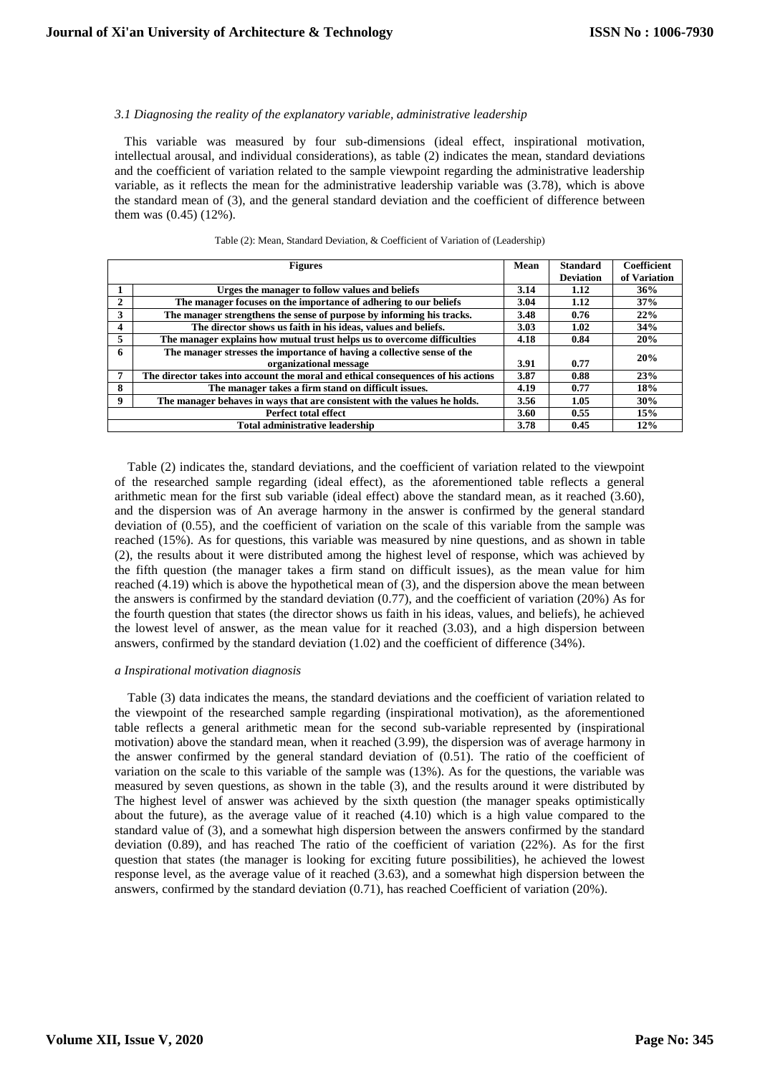# *3.1 Diagnosing the reality of the explanatory variable, administrative leadership*

 This variable was measured by four sub-dimensions (ideal effect, inspirational motivation, intellectual arousal, and individual considerations), as table (2) indicates the mean, standard deviations and the coefficient of variation related to the sample viewpoint regarding the administrative leadership variable, as it reflects the mean for the administrative leadership variable was (3.78), which is above the standard mean of (3), and the general standard deviation and the coefficient of difference between them was (0.45) (12%).

|              | <b>Figures</b>                                                                    | Mean | <b>Standard</b><br><b>Deviation</b> | <b>Coefficient</b><br>of Variation |
|--------------|-----------------------------------------------------------------------------------|------|-------------------------------------|------------------------------------|
|              | Urges the manager to follow values and beliefs                                    | 3.14 | 1.12                                | 36%                                |
| $\mathbf{2}$ | The manager focuses on the importance of adhering to our beliefs                  | 3.04 | 1.12                                | 37%                                |
| 3            | The manager strengthens the sense of purpose by informing his tracks.             | 3.48 | 0.76                                | 22%                                |
| 4            | The director shows us faith in his ideas, values and beliefs.                     | 3.03 | 1.02                                | 34%                                |
| 5            | The manager explains how mutual trust helps us to overcome difficulties           | 4.18 | 0.84                                | 20%                                |
| 6            | The manager stresses the importance of having a collective sense of the           |      |                                     | 20%                                |
|              | organizational message                                                            | 3.91 | 0.77                                |                                    |
| 7            | The director takes into account the moral and ethical consequences of his actions | 3.87 | 0.88                                | 23%                                |
| 8            | The manager takes a firm stand on difficult issues.                               | 4.19 | 0.77                                | 18%                                |
| $\mathbf{o}$ | The manager behaves in ways that are consistent with the values he holds.         | 3.56 | 1.05                                | 30%                                |
|              | <b>Perfect total effect</b>                                                       | 3.60 | 0.55                                | 15%                                |
|              | Total administrative leadership                                                   | 3.78 | 0.45                                | 12%                                |

#### Table (2): Mean, Standard Deviation, & Coefficient of Variation of (Leadership)

 Table (2) indicates the, standard deviations, and the coefficient of variation related to the viewpoint of the researched sample regarding (ideal effect), as the aforementioned table reflects a general arithmetic mean for the first sub variable (ideal effect) above the standard mean, as it reached (3.60), and the dispersion was of An average harmony in the answer is confirmed by the general standard deviation of (0.55), and the coefficient of variation on the scale of this variable from the sample was reached (15%). As for questions, this variable was measured by nine questions, and as shown in table (2), the results about it were distributed among the highest level of response, which was achieved by the fifth question (the manager takes a firm stand on difficult issues), as the mean value for him reached (4.19) which is above the hypothetical mean of (3), and the dispersion above the mean between the answers is confirmed by the standard deviation (0.77), and the coefficient of variation (20%) As for the fourth question that states (the director shows us faith in his ideas, values, and beliefs), he achieved the lowest level of answer, as the mean value for it reached (3.03), and a high dispersion between answers, confirmed by the standard deviation (1.02) and the coefficient of difference (34%).

#### *a Inspirational motivation diagnosis*

 Table (3) data indicates the means, the standard deviations and the coefficient of variation related to the viewpoint of the researched sample regarding (inspirational motivation), as the aforementioned table reflects a general arithmetic mean for the second sub-variable represented by (inspirational motivation) above the standard mean, when it reached (3.99), the dispersion was of average harmony in the answer confirmed by the general standard deviation of (0.51). The ratio of the coefficient of variation on the scale to this variable of the sample was (13%). As for the questions, the variable was measured by seven questions, as shown in the table (3), and the results around it were distributed by The highest level of answer was achieved by the sixth question (the manager speaks optimistically about the future), as the average value of it reached (4.10) which is a high value compared to the standard value of (3), and a somewhat high dispersion between the answers confirmed by the standard deviation (0.89), and has reached The ratio of the coefficient of variation (22%). As for the first question that states (the manager is looking for exciting future possibilities), he achieved the lowest response level, as the average value of it reached (3.63), and a somewhat high dispersion between the answers, confirmed by the standard deviation (0.71), has reached Coefficient of variation (20%).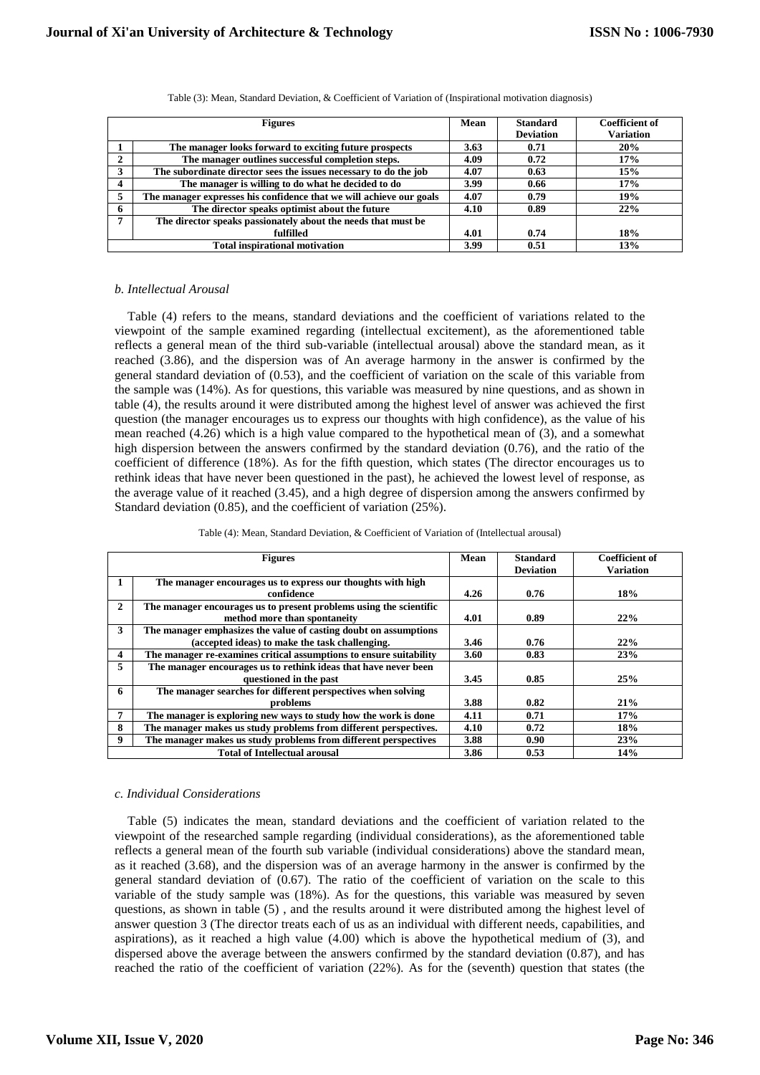|    | <b>Figures</b>                                                      | <b>Mean</b> | <b>Standard</b><br><b>Deviation</b> | <b>Coefficient of</b><br><b>Variation</b> |
|----|---------------------------------------------------------------------|-------------|-------------------------------------|-------------------------------------------|
|    | The manager looks forward to exciting future prospects              | 3.63        | 0.71                                | 20%                                       |
| 2  | The manager outlines successful completion steps.                   | 4.09        | 0.72                                | 17%                                       |
| 3  | The subordinate director sees the issues necessary to do the job    | 4.07        | 0.63                                | 15%                                       |
| 4  | The manager is willing to do what he decided to do                  | 3.99        | 0.66                                | 17%                                       |
| 5. | The manager expresses his confidence that we will achieve our goals | 4.07        | 0.79                                | 19%                                       |
| 6  | The director speaks optimist about the future                       | 4.10        | 0.89                                | 22%                                       |
| 7  | The director speaks passionately about the needs that must be       |             |                                     |                                           |
|    | fulfilled                                                           | 4.01        | 0.74                                | 18%                                       |
|    | <b>Total inspirational motivation</b>                               | 3.99        | 0.51                                | 13%                                       |

Table (3): Mean, Standard Deviation, & Coefficient of Variation of (Inspirational motivation diagnosis)

# *b. Intellectual Arousal*

 Table (4) refers to the means, standard deviations and the coefficient of variations related to the viewpoint of the sample examined regarding (intellectual excitement), as the aforementioned table reflects a general mean of the third sub-variable (intellectual arousal) above the standard mean, as it reached (3.86), and the dispersion was of An average harmony in the answer is confirmed by the general standard deviation of (0.53), and the coefficient of variation on the scale of this variable from the sample was (14%). As for questions, this variable was measured by nine questions, and as shown in table (4), the results around it were distributed among the highest level of answer was achieved the first question (the manager encourages us to express our thoughts with high confidence), as the value of his mean reached (4.26) which is a high value compared to the hypothetical mean of (3), and a somewhat high dispersion between the answers confirmed by the standard deviation (0.76), and the ratio of the coefficient of difference (18%). As for the fifth question, which states (The director encourages us to rethink ideas that have never been questioned in the past), he achieved the lowest level of response, as the average value of it reached (3.45), and a high degree of dispersion among the answers confirmed by Standard deviation (0.85), and the coefficient of variation (25%).

| Table (4): Mean, Standard Deviation, & Coefficient of Variation of (Intellectual arousal) |  |  |
|-------------------------------------------------------------------------------------------|--|--|
|-------------------------------------------------------------------------------------------|--|--|

|              | <b>Figures</b>                                                                                     | Mean | <b>Standard</b><br><b>Deviation</b> | <b>Coefficient of</b><br><b>Variation</b> |
|--------------|----------------------------------------------------------------------------------------------------|------|-------------------------------------|-------------------------------------------|
|              | The manager encourages us to express our thoughts with high                                        |      |                                     |                                           |
|              | confidence                                                                                         | 4.26 | 0.76                                | 18%                                       |
| $\mathbf{2}$ | The manager encourages us to present problems using the scientific<br>method more than spontaneity | 4.01 | 0.89                                | 22%                                       |
|              |                                                                                                    |      |                                     |                                           |
| 3            | The manager emphasizes the value of casting doubt on assumptions                                   |      |                                     |                                           |
|              | (accepted ideas) to make the task challenging.                                                     | 3.46 | 0.76                                | 22%                                       |
| 4            | The manager re-examines critical assumptions to ensure suitability                                 | 3.60 | 0.83                                | 23%                                       |
| 5.           | The manager encourages us to rethink ideas that have never been                                    |      |                                     |                                           |
|              | questioned in the past                                                                             | 3.45 | 0.85                                | 25%                                       |
| 6            | The manager searches for different perspectives when solving                                       |      |                                     |                                           |
|              | problems                                                                                           | 3.88 | 0.82                                | 21%                                       |
| 7            | The manager is exploring new ways to study how the work is done                                    | 4.11 | 0.71                                | 17%                                       |
| 8            | The manager makes us study problems from different perspectives.                                   | 4.10 | 0.72                                | 18%                                       |
| 9            | The manager makes us study problems from different perspectives                                    | 3.88 | 0.90                                | 23%                                       |
|              | <b>Total of Intellectual arousal</b>                                                               | 3.86 | 0.53                                | 14%                                       |

# *c. Individual Considerations*

 Table (5) indicates the mean, standard deviations and the coefficient of variation related to the viewpoint of the researched sample regarding (individual considerations), as the aforementioned table reflects a general mean of the fourth sub variable (individual considerations) above the standard mean, as it reached (3.68), and the dispersion was of an average harmony in the answer is confirmed by the general standard deviation of (0.67). The ratio of the coefficient of variation on the scale to this variable of the study sample was (18%). As for the questions, this variable was measured by seven questions, as shown in table (5) , and the results around it were distributed among the highest level of answer question 3 (The director treats each of us as an individual with different needs, capabilities, and aspirations), as it reached a high value (4.00) which is above the hypothetical medium of (3), and dispersed above the average between the answers confirmed by the standard deviation (0.87), and has reached the ratio of the coefficient of variation (22%). As for the (seventh) question that states (the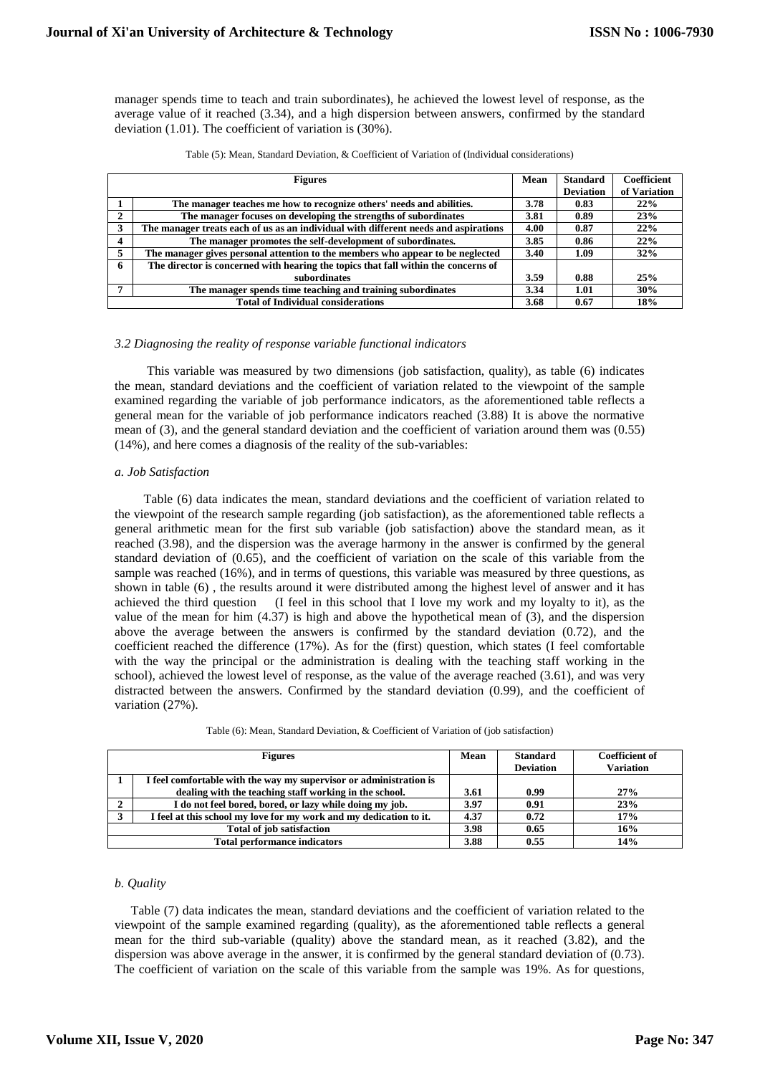manager spends time to teach and train subordinates), he achieved the lowest level of response, as the average value of it reached (3.34), and a high dispersion between answers, confirmed by the standard deviation (1.01). The coefficient of variation is (30%).

|   | <b>Figures</b>                                                                      | Mean | <b>Standard</b>  | <b>Coefficient</b> |
|---|-------------------------------------------------------------------------------------|------|------------------|--------------------|
|   |                                                                                     |      | <b>Deviation</b> | of Variation       |
|   | The manager teaches me how to recognize others' needs and abilities.                | 3.78 | 0.83             | 22%                |
|   | The manager focuses on developing the strengths of subordinates                     | 3.81 | 0.89             | 23%                |
|   | The manager treats each of us as an individual with different needs and aspirations | 4.00 | 0.87             | 22%                |
| 4 | The manager promotes the self-development of subordinates.                          | 3.85 | 0.86             | 22%                |
|   | The manager gives personal attention to the members who appear to be neglected      | 3.40 | 1.09             | 32%                |
| 6 | The director is concerned with hearing the topics that fall within the concerns of  |      |                  |                    |
|   | subordinates                                                                        | 3.59 | 0.88             | 25%                |
|   | The manager spends time teaching and training subordinates                          | 3.34 | 1.01             | 30%                |
|   | <b>Total of Individual considerations</b>                                           | 3.68 | 0.67             | 18%                |

# *3.2 Diagnosing the reality of response variable functional indicators*

 This variable was measured by two dimensions (job satisfaction, quality), as table (6) indicates the mean, standard deviations and the coefficient of variation related to the viewpoint of the sample examined regarding the variable of job performance indicators, as the aforementioned table reflects a general mean for the variable of job performance indicators reached (3.88) It is above the normative mean of (3), and the general standard deviation and the coefficient of variation around them was (0.55) (14%), and here comes a diagnosis of the reality of the sub-variables:

# *a. Job Satisfaction*

 Table (6) data indicates the mean, standard deviations and the coefficient of variation related to the viewpoint of the research sample regarding (job satisfaction), as the aforementioned table reflects a general arithmetic mean for the first sub variable (job satisfaction) above the standard mean, as it reached (3.98), and the dispersion was the average harmony in the answer is confirmed by the general standard deviation of (0.65), and the coefficient of variation on the scale of this variable from the sample was reached (16%), and in terms of questions, this variable was measured by three questions, as shown in table (6) , the results around it were distributed among the highest level of answer and it has achieved the third question (I feel in this school that I love my work and my loyalty to it), as the value of the mean for him (4.37) is high and above the hypothetical mean of (3), and the dispersion above the average between the answers is confirmed by the standard deviation (0.72), and the coefficient reached the difference (17%). As for the (first) question, which states (I feel comfortable with the way the principal or the administration is dealing with the teaching staff working in the school), achieved the lowest level of response, as the value of the average reached (3.61), and was very distracted between the answers. Confirmed by the standard deviation (0.99), and the coefficient of variation (27%).

| <b>Figures</b>                                                     | Mean | <b>Standard</b><br><b>Deviation</b> | <b>Coefficient of</b><br><b>Variation</b> |
|--------------------------------------------------------------------|------|-------------------------------------|-------------------------------------------|
| I feel comfortable with the way my supervisor or administration is |      |                                     |                                           |
| dealing with the teaching staff working in the school.             | 3.61 | 0.99                                | 27%                                       |
| I do not feel bored, bored, or lazy while doing my job.            | 3.97 | 0.91                                | 23%                                       |
| I feel at this school my love for my work and my dedication to it. | 4.37 | 0.72                                | 17%                                       |
| Total of job satisfaction                                          | 3.98 | 0.65                                | 16%                                       |
| <b>Total performance indicators</b>                                | 3.88 | 0.55                                | 14%                                       |

# *b. Quality*

 Table (7) data indicates the mean, standard deviations and the coefficient of variation related to the viewpoint of the sample examined regarding (quality), as the aforementioned table reflects a general mean for the third sub-variable (quality) above the standard mean, as it reached (3.82), and the dispersion was above average in the answer, it is confirmed by the general standard deviation of (0.73). The coefficient of variation on the scale of this variable from the sample was 19%. As for questions,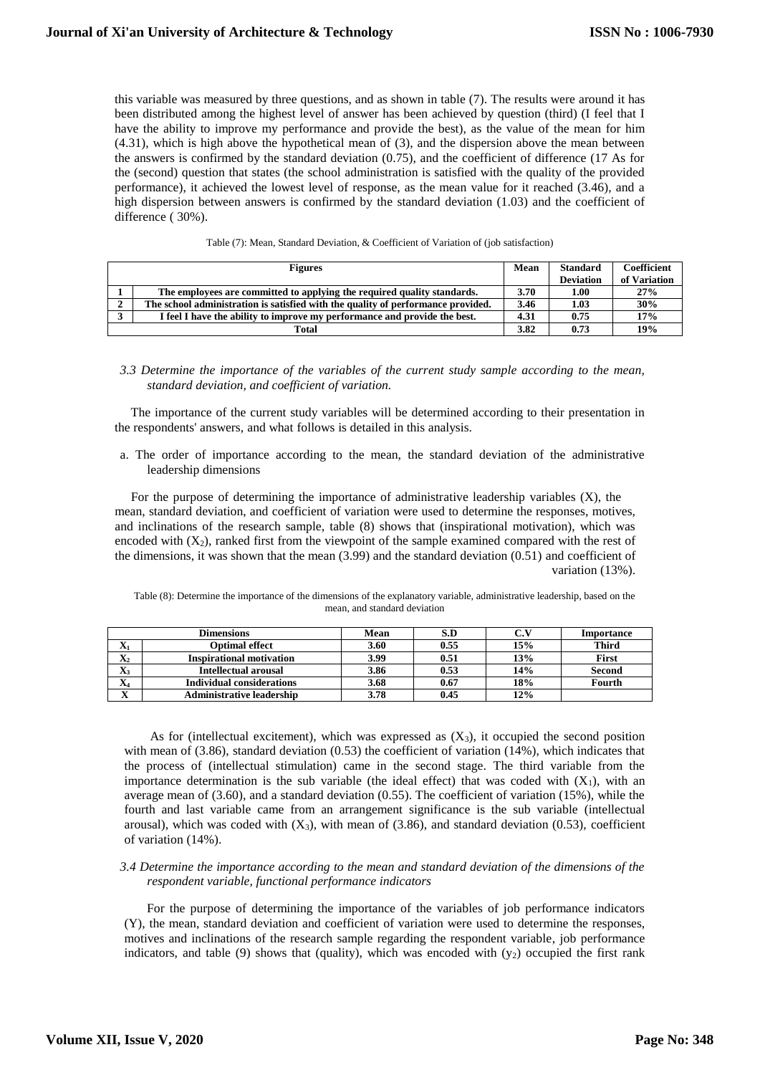this variable was measured by three questions, and as shown in table (7). The results were around it has been distributed among the highest level of answer has been achieved by question (third) (I feel that I have the ability to improve my performance and provide the best), as the value of the mean for him (4.31), which is high above the hypothetical mean of (3), and the dispersion above the mean between the answers is confirmed by the standard deviation (0.75), and the coefficient of difference (17 As for the (second) question that states (the school administration is satisfied with the quality of the provided performance), it achieved the lowest level of response, as the mean value for it reached (3.46), and a high dispersion between answers is confirmed by the standard deviation (1.03) and the coefficient of difference ( 30%).

| <b>Figures</b>                                                                   |      | <b>Standard</b>  | <b>Coefficient</b> |
|----------------------------------------------------------------------------------|------|------------------|--------------------|
|                                                                                  |      | <b>Deviation</b> | of Variation       |
| The employees are committed to applying the required quality standards.          | 3.70 | $1.00\,$         | 27%                |
| The school administration is satisfied with the quality of performance provided. | 3.46 | 1.03             | 30%                |
| I feel I have the ability to improve my performance and provide the best.        | 4.31 | 0.75             | 17%                |
| Total                                                                            | 3.82 | 0.73             | 19%                |

|  | Table (7): Mean, Standard Deviation, & Coefficient of Variation of (job satisfaction) |  |  |  |
|--|---------------------------------------------------------------------------------------|--|--|--|
|--|---------------------------------------------------------------------------------------|--|--|--|

*3.3 Determine the importance of the variables of the current study sample according to the mean, standard deviation, and coefficient of variation.*

 The importance of the current study variables will be determined according to their presentation in the respondents' answers, and what follows is detailed in this analysis.

a. The order of importance according to the mean, the standard deviation of the administrative leadership dimensions

 For the purpose of determining the importance of administrative leadership variables (X), the mean, standard deviation, and coefficient of variation were used to determine the responses, motives, and inclinations of the research sample, table (8) shows that (inspirational motivation), which was encoded with  $(X_2)$ , ranked first from the viewpoint of the sample examined compared with the rest of the dimensions, it was shown that the mean (3.99) and the standard deviation (0.51) and coefficient of variation (13%).

Table (8): Determine the importance of the dimensions of the explanatory variable, administrative leadership, based on the mean, and standard deviation

| <b>Dimensions</b>            |                                  | Mean | S.D  |     | Importance   |
|------------------------------|----------------------------------|------|------|-----|--------------|
| $\mathbf{v}$<br>A            | Optimal effect                   | 3.60 | 0.55 | 15% | <b>Third</b> |
| $\mathbf{X}_2$               | <b>Inspirational motivation</b>  | 3.99 | 0.51 | 13% | <b>First</b> |
| $\mathbf{X}_3$               | <b>Intellectual arousal</b>      | 3.86 | 0.53 | 14% | Second       |
| $\mathbf{v}$<br>$\mathbf{A}$ | <b>Individual considerations</b> | 3.68 | 0.67 | 18% | Fourth       |
| $\mathbf{v}$<br>́△           | <b>Administrative leadership</b> | 3.78 | 0.45 | 12% |              |

As for (intellectual excitement), which was expressed as  $(X_3)$ , it occupied the second position with mean of (3.86), standard deviation (0.53) the coefficient of variation (14%), which indicates that the process of (intellectual stimulation) came in the second stage. The third variable from the importance determination is the sub variable (the ideal effect) that was coded with  $(X_1)$ , with an average mean of (3.60), and a standard deviation (0.55). The coefficient of variation (15%), while the fourth and last variable came from an arrangement significance is the sub variable (intellectual arousal), which was coded with  $(X_3)$ , with mean of  $(3.86)$ , and standard deviation  $(0.53)$ , coefficient of variation (14%).

# *3.4 Determine the importance according to the mean and standard deviation of the dimensions of the respondent variable, functional performance indicators*

 For the purpose of determining the importance of the variables of job performance indicators (Y), the mean, standard deviation and coefficient of variation were used to determine the responses, motives and inclinations of the research sample regarding the respondent variable, job performance indicators, and table  $(9)$  shows that (quality), which was encoded with  $(y_2)$  occupied the first rank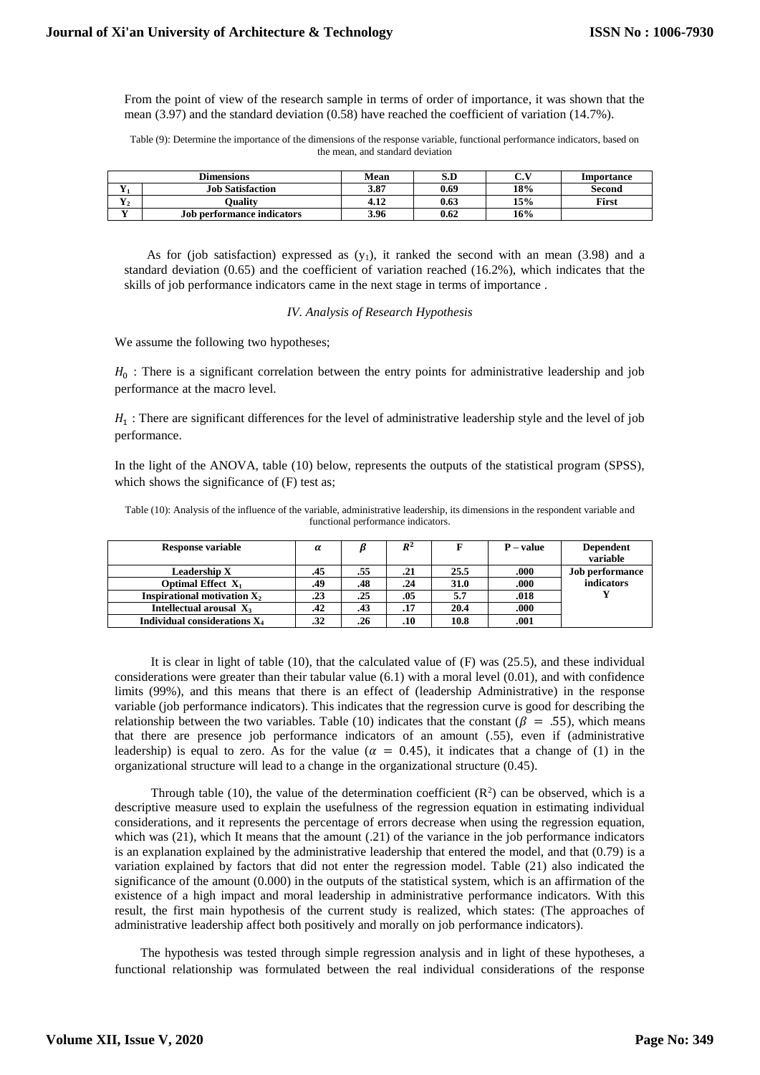From the point of view of the research sample in terms of order of importance, it was shown that the mean (3.97) and the standard deviation (0.58) have reached the coefficient of variation (14.7%).

Table (9): Determine the importance of the dimensions of the response variable, functional performance indicators, based on the mean, and standard deviation

| <b>Dimensions</b> |                            | Mean | S.D  | $\mathbf{v}$<br>ı. | Importance   |
|-------------------|----------------------------|------|------|--------------------|--------------|
| - -               | <b>Job Satisfaction</b>    | 3.87 | 0.69 | 18%                | Second       |
| $-$<br>л.         | <b>)uality</b>             | 4.LZ | 0.63 | 15%                | <b>First</b> |
| - -               | Job performance indicators | 3.96 | 0.62 | 16%                |              |

As for (job satisfaction) expressed as  $(y_1)$ , it ranked the second with an mean  $(3.98)$  and a standard deviation (0.65) and the coefficient of variation reached (16.2%), which indicates that the skills of job performance indicators came in the next stage in terms of importance .

# *IV. Analysis of Research Hypothesis*

We assume the following two hypotheses;

 $H_0$ : There is a significant correlation between the entry points for administrative leadership and job performance at the macro level.

 $H_1$ : There are significant differences for the level of administrative leadership style and the level of job performance.

In the light of the ANOVA, table (10) below, represents the outputs of the statistical program (SPSS), which shows the significance of  $(F)$  test as;

Table (10): Analysis of the influence of the variable, administrative leadership, its dimensions in the respondent variable and functional performance indicators.

| <b>Response variable</b>        | $\alpha$ |     | $R^2$ |      | $P - value$ | <b>Dependent</b>       |
|---------------------------------|----------|-----|-------|------|-------------|------------------------|
|                                 |          |     |       |      |             | variable               |
| Leadership X                    | .45      | .55 | .21   | 25.5 | .000        | <b>Job performance</b> |
| Optimal Effect $X_1$            | .49      | .48 | .24   | 31.0 | .000        | indicators             |
| Inspirational motivation $X_2$  | .23      | .25 | .05   | 5.7  | .018        |                        |
| Intellectual arousal $X_3$      | .42      | .43 | .17   | 20.4 | .000        |                        |
| Individual considerations $X_4$ | .32      | .26 | .10   | 10.8 | .001        |                        |

It is clear in light of table (10), that the calculated value of (F) was (25.5), and these individual considerations were greater than their tabular value  $(6.1)$  with a moral level  $(0.01)$ , and with confidence limits (99%), and this means that there is an effect of (leadership Administrative) in the response variable (job performance indicators). This indicates that the regression curve is good for describing the relationship between the two variables. Table (10) indicates that the constant ( $\beta = .55$ ), which means that there are presence job performance indicators of an amount (.55), even if (administrative leadership) is equal to zero. As for the value ( $\alpha = 0.45$ ), it indicates that a change of (1) in the organizational structure will lead to a change in the organizational structure (0.45).

Through table (10), the value of the determination coefficient  $(R^2)$  can be observed, which is a descriptive measure used to explain the usefulness of the regression equation in estimating individual considerations, and it represents the percentage of errors decrease when using the regression equation, which was (21), which It means that the amount (.21) of the variance in the job performance indicators is an explanation explained by the administrative leadership that entered the model, and that (0.79) is a variation explained by factors that did not enter the regression model. Table (21) also indicated the significance of the amount (0.000) in the outputs of the statistical system, which is an affirmation of the existence of a high impact and moral leadership in administrative performance indicators. With this result, the first main hypothesis of the current study is realized, which states: (The approaches of administrative leadership affect both positively and morally on job performance indicators).

 The hypothesis was tested through simple regression analysis and in light of these hypotheses, a functional relationship was formulated between the real individual considerations of the response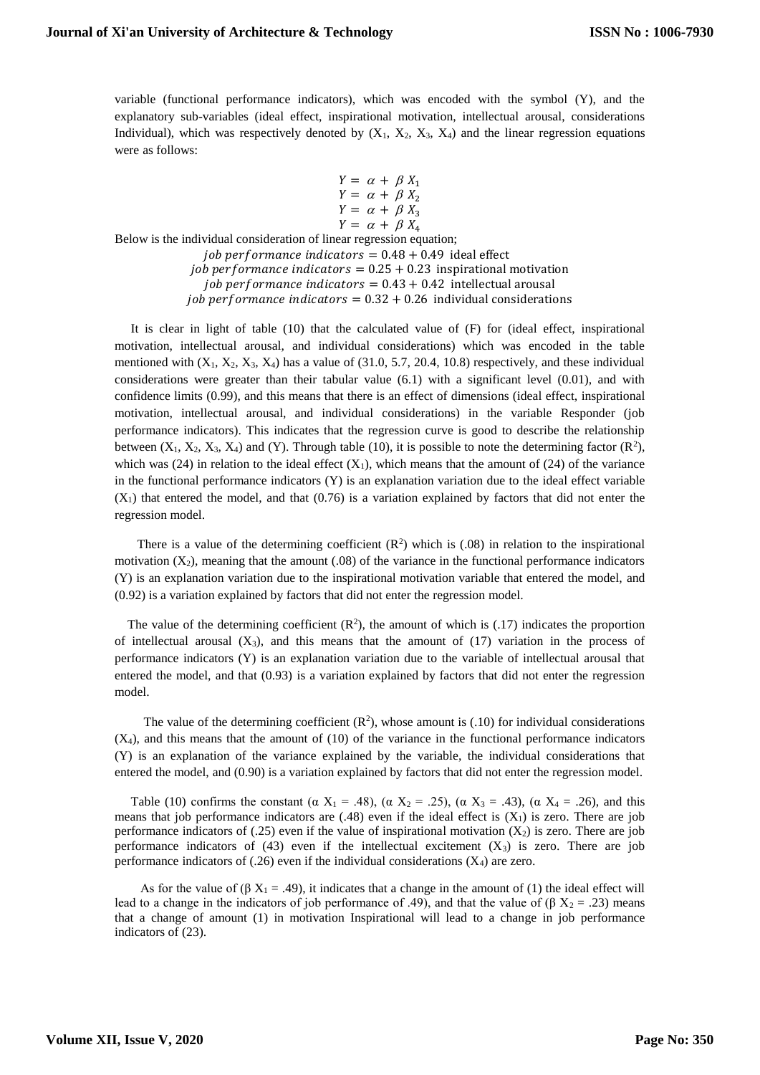variable (functional performance indicators), which was encoded with the symbol (Y), and the explanatory sub-variables (ideal effect, inspirational motivation, intellectual arousal, considerations Individual), which was respectively denoted by  $(X_1, X_2, X_3, X_4)$  and the linear regression equations were as follows:

$$
Y = \alpha + \beta X_1
$$
  
\n
$$
Y = \alpha + \beta X_2
$$
  
\n
$$
Y = \alpha + \beta X_3
$$
  
\n
$$
Y = \alpha + \beta X_4
$$

Below is the individual consideration of linear regression equation; job performance indicators =  $0.48 + 0.49$  ideal effect job performance indicators =  $0.25 + 0.23$  inspirational motivation job performance indicators =  $0.43 + 0.42$  intellectual arousal job performance indicators =  $0.32 + 0.26$  individual considerations

 It is clear in light of table (10) that the calculated value of (F) for (ideal effect, inspirational motivation, intellectual arousal, and individual considerations) which was encoded in the table mentioned with  $(X_1, X_2, X_3, X_4)$  has a value of  $(31.0, 5.7, 20.4, 10.8)$  respectively, and these individual considerations were greater than their tabular value (6.1) with a significant level (0.01), and with confidence limits (0.99), and this means that there is an effect of dimensions (ideal effect, inspirational motivation, intellectual arousal, and individual considerations) in the variable Responder (job performance indicators). This indicates that the regression curve is good to describe the relationship between  $(X_1, X_2, X_3, X_4)$  and  $(Y)$ . Through table (10), it is possible to note the determining factor  $(\mathbb{R}^2)$ , which was (24) in relation to the ideal effect  $(X_1)$ , which means that the amount of (24) of the variance in the functional performance indicators (Y) is an explanation variation due to the ideal effect variable  $(X_1)$  that entered the model, and that (0.76) is a variation explained by factors that did not enter the regression model.

There is a value of the determining coefficient  $(R^2)$  which is (.08) in relation to the inspirational motivation  $(X_2)$ , meaning that the amount  $(0.08)$  of the variance in the functional performance indicators (Y) is an explanation variation due to the inspirational motivation variable that entered the model, and (0.92) is a variation explained by factors that did not enter the regression model.

The value of the determining coefficient  $(R^2)$ , the amount of which is (.17) indicates the proportion of intellectual arousal  $(X_3)$ , and this means that the amount of  $(17)$  variation in the process of performance indicators (Y) is an explanation variation due to the variable of intellectual arousal that entered the model, and that (0.93) is a variation explained by factors that did not enter the regression model.

The value of the determining coefficient  $(R^2)$ , whose amount is (.10) for individual considerations  $(X_4)$ , and this means that the amount of (10) of the variance in the functional performance indicators (Y) is an explanation of the variance explained by the variable, the individual considerations that entered the model, and (0.90) is a variation explained by factors that did not enter the regression model.

Table (10) confirms the constant ( $\alpha X_1 = .48$ ), ( $\alpha X_2 = .25$ ), ( $\alpha X_3 = .43$ ), ( $\alpha X_4 = .26$ ), and this means that job performance indicators are  $(.48)$  even if the ideal effect is  $(X<sub>1</sub>)$  is zero. There are job performance indicators of  $(.25)$  even if the value of inspirational motivation  $(X_2)$  is zero. There are job performance indicators of  $(43)$  even if the intellectual excitement  $(X_3)$  is zero. There are job performance indicators of  $(.26)$  even if the individual considerations  $(X_4)$  are zero.

As for the value of ( $\beta X_1 = .49$ ), it indicates that a change in the amount of (1) the ideal effect will lead to a change in the indicators of job performance of .49), and that the value of ( $\beta X_2 = .23$ ) means that a change of amount (1) in motivation Inspirational will lead to a change in job performance indicators of (23).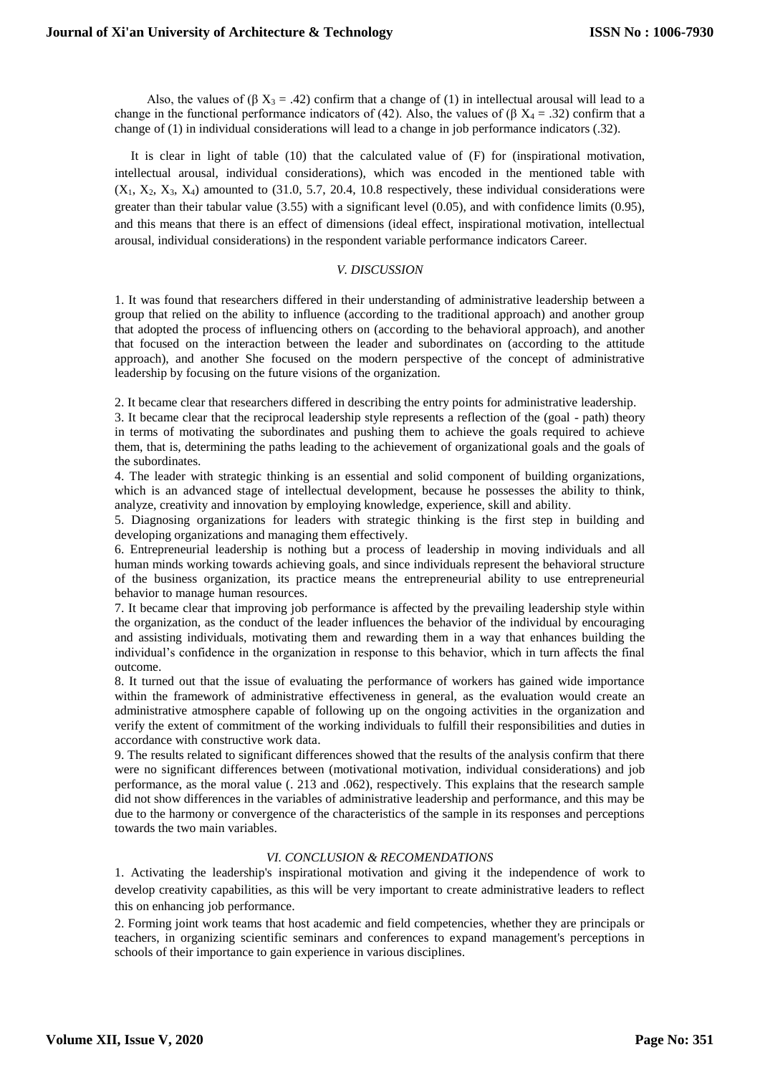Also, the values of  $(\beta X_3 = .42)$  confirm that a change of (1) in intellectual arousal will lead to a change in the functional performance indicators of (42). Also, the values of (β  $X_4 = .32$ ) confirm that a change of (1) in individual considerations will lead to a change in job performance indicators (.32).

 It is clear in light of table (10) that the calculated value of (F) for (inspirational motivation, intellectual arousal, individual considerations), which was encoded in the mentioned table with  $(X_1, X_2, X_3, X_4)$  amounted to (31.0, 5.7, 20.4, 10.8 respectively, these individual considerations were greater than their tabular value (3.55) with a significant level (0.05), and with confidence limits (0.95), and this means that there is an effect of dimensions (ideal effect, inspirational motivation, intellectual arousal, individual considerations) in the respondent variable performance indicators Career.

# *V. DISCUSSION*

1. It was found that researchers differed in their understanding of administrative leadership between a group that relied on the ability to influence (according to the traditional approach) and another group that adopted the process of influencing others on (according to the behavioral approach), and another that focused on the interaction between the leader and subordinates on (according to the attitude approach), and another She focused on the modern perspective of the concept of administrative leadership by focusing on the future visions of the organization.

2. It became clear that researchers differed in describing the entry points for administrative leadership.

3. It became clear that the reciprocal leadership style represents a reflection of the (goal - path) theory in terms of motivating the subordinates and pushing them to achieve the goals required to achieve them, that is, determining the paths leading to the achievement of organizational goals and the goals of the subordinates.

4. The leader with strategic thinking is an essential and solid component of building organizations, which is an advanced stage of intellectual development, because he possesses the ability to think, analyze, creativity and innovation by employing knowledge, experience, skill and ability.

5. Diagnosing organizations for leaders with strategic thinking is the first step in building and developing organizations and managing them effectively.

6. Entrepreneurial leadership is nothing but a process of leadership in moving individuals and all human minds working towards achieving goals, and since individuals represent the behavioral structure of the business organization, its practice means the entrepreneurial ability to use entrepreneurial behavior to manage human resources.

7. It became clear that improving job performance is affected by the prevailing leadership style within the organization, as the conduct of the leader influences the behavior of the individual by encouraging and assisting individuals, motivating them and rewarding them in a way that enhances building the individual's confidence in the organization in response to this behavior, which in turn affects the final outcome.

8. It turned out that the issue of evaluating the performance of workers has gained wide importance within the framework of administrative effectiveness in general, as the evaluation would create an administrative atmosphere capable of following up on the ongoing activities in the organization and verify the extent of commitment of the working individuals to fulfill their responsibilities and duties in accordance with constructive work data.

9. The results related to significant differences showed that the results of the analysis confirm that there were no significant differences between (motivational motivation, individual considerations) and job performance, as the moral value (. 213 and .062), respectively. This explains that the research sample did not show differences in the variables of administrative leadership and performance, and this may be due to the harmony or convergence of the characteristics of the sample in its responses and perceptions towards the two main variables.

# *VI. CONCLUSION & RECOMENDATIONS*

1. Activating the leadership's inspirational motivation and giving it the independence of work to develop creativity capabilities, as this will be very important to create administrative leaders to reflect this on enhancing job performance.

2. Forming joint work teams that host academic and field competencies, whether they are principals or teachers, in organizing scientific seminars and conferences to expand management's perceptions in schools of their importance to gain experience in various disciplines.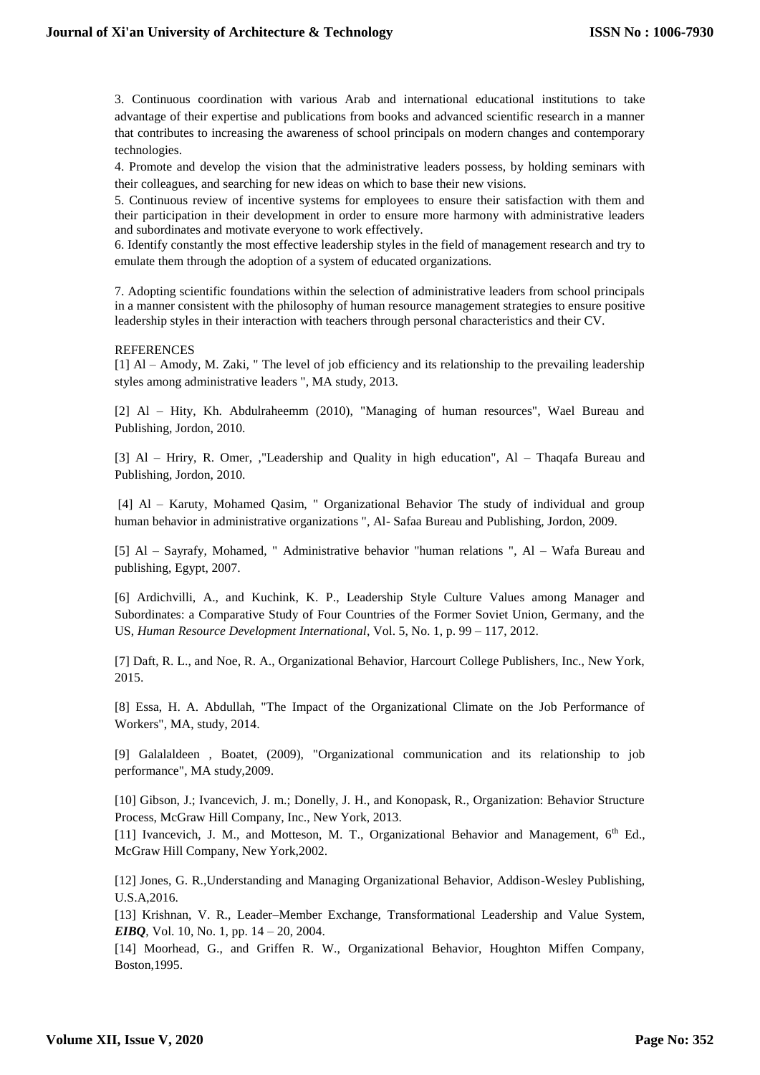3. Continuous coordination with various Arab and international educational institutions to take advantage of their expertise and publications from books and advanced scientific research in a manner that contributes to increasing the awareness of school principals on modern changes and contemporary technologies.

4. Promote and develop the vision that the administrative leaders possess, by holding seminars with their colleagues, and searching for new ideas on which to base their new visions.

5. Continuous review of incentive systems for employees to ensure their satisfaction with them and their participation in their development in order to ensure more harmony with administrative leaders and subordinates and motivate everyone to work effectively.

6. Identify constantly the most effective leadership styles in the field of management research and try to emulate them through the adoption of a system of educated organizations.

7. Adopting scientific foundations within the selection of administrative leaders from school principals in a manner consistent with the philosophy of human resource management strategies to ensure positive leadership styles in their interaction with teachers through personal characteristics and their CV.

# REFERENCES

[1] Al – Amody, M. Zaki, " The level of job efficiency and its relationship to the prevailing leadership styles among administrative leaders ", MA study, 2013.

[2] Al – Hity, Kh. Abdulraheemm (2010), "Managing of human resources", Wael Bureau and Publishing, Jordon, 2010.

[3] Al – Hriry, R. Omer, ,"Leadership and Quality in high education", Al – Thaqafa Bureau and Publishing, Jordon, 2010.

[4] Al – Karuty, Mohamed Qasim, " Organizational Behavior The study of individual and group human behavior in administrative organizations ", Al- Safaa Bureau and Publishing, Jordon, 2009.

[5] Al – Sayrafy, Mohamed, " Administrative behavior "human relations ", Al – Wafa Bureau and publishing, Egypt, 2007.

[6] Ardichvilli, A., and Kuchink, K. P., Leadership Style Culture Values among Manager and Subordinates: a Comparative Study of Four Countries of the Former Soviet Union, Germany, and the US, *Human Resource Development International*, Vol. 5, No. 1, p. 99 – 117, 2012.

[7] Daft, R. L., and Noe, R. A., Organizational Behavior, Harcourt College Publishers, Inc., New York, 2015.

[8] Essa, H. A. Abdullah, "The Impact of the Organizational Climate on the Job Performance of Workers", MA, study, 2014.

[9] Galalaldeen , Boatet, (2009), "Organizational communication and its relationship to job performance", MA study,2009.

[10] Gibson, J.; Ivancevich, J. m.; Donelly, J. H., and Konopask, R., Organization: Behavior Structure Process, McGraw Hill Company, Inc., New York, 2013.

[11] Ivancevich, J. M., and Motteson, M. T., Organizational Behavior and Management, 6<sup>th</sup> Ed., McGraw Hill Company, New York,2002.

[12] Jones, G. R.,Understanding and Managing Organizational Behavior, Addison-Wesley Publishing, U.S.A,2016.

[13] Krishnan, V. R., Leader–Member Exchange, Transformational Leadership and Value System, *EIBO*, Vol. 10, No. 1, pp. 14 – 20, 2004.

[14] Moorhead, G., and Griffen R. W., Organizational Behavior, Houghton Miffen Company, Boston,1995.